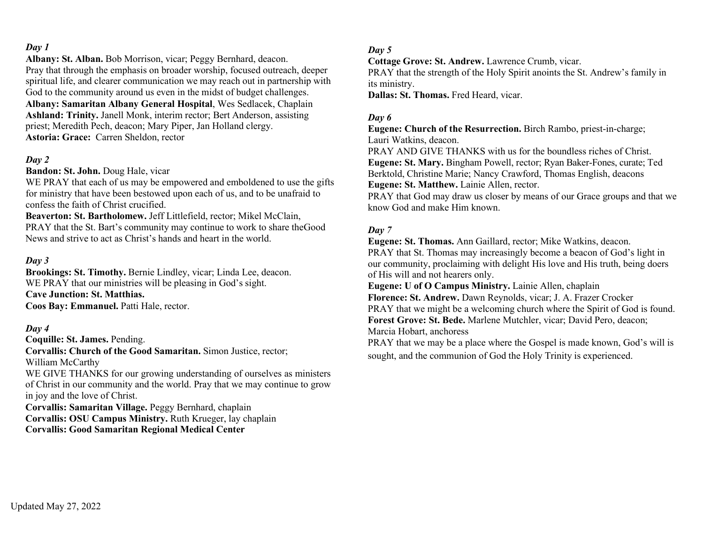**Albany: St. Alban.** Bob Morrison, vicar; Peggy Bernhard, deacon. Pray that through the emphasis on broader worship, focused outreach, deeper spiritual life, and clearer communication we may reach out in partnership with God to the community around us even in the midst of budget challenges. **Albany: Samaritan Albany General Hospital**, Wes Sedlacek, Chaplain **Ashland: Trinity.** Janell Monk, interim rector; Bert Anderson, assisting priest; Meredith Pech, deacon; Mary Piper, Jan Holland clergy. **Astoria: Grace:** Carren Sheldon, rector

## *Day 2*

**Bandon: St. John.** Doug Hale, vicar

WE PRAY that each of us may be empowered and emboldened to use the gifts for ministry that have been bestowed upon each of us, and to be unafraid to confess the faith of Christ crucified.

**Beaverton: St. Bartholomew.** Jeff Littlefield, rector; Mikel McClain, PRAY that the St. Bart's community may continue to work to share theGood News and strive to act as Christ's hands and heart in the world.

#### *Day 3*

**Brookings: St. Timothy.** Bernie Lindley, vicar; Linda Lee, deacon. WE PRAY that our ministries will be pleasing in God's sight. **Cave Junction: St. Matthias. Coos Bay: Emmanuel.** Patti Hale, rector.

#### *Day 4*

**Coquille: St. James.** Pending.

**Corvallis: Church of the Good Samaritan.** Simon Justice, rector; William McCarthy

WE GIVE THANKS for our growing understanding of ourselves as ministers of Christ in our community and the world. Pray that we may continue to grow in joy and the love of Christ.

**Corvallis: Samaritan Village.** Peggy Bernhard, chaplain **Corvallis: OSU Campus Ministry.** Ruth Krueger, lay chaplain **Corvallis: Good Samaritan Regional Medical Center**

#### *Day 5*

**Cottage Grove: St. Andrew.** Lawrence Crumb, vicar.

PRAY that the strength of the Holy Spirit anoints the St. Andrew's family in its ministry.

**Dallas: St. Thomas.** Fred Heard, vicar.

### *Day 6*

**Eugene: Church of the Resurrection.** Birch Rambo, priest-in-charge; Lauri Watkins, deacon.

PRAY AND GIVE THANKS with us for the boundless riches of Christ. **Eugene: St. Mary.** Bingham Powell, rector; Ryan Baker-Fones, curate; Ted Berktold, Christine Marie; Nancy Crawford, Thomas English, deacons **Eugene: St. Matthew.** Lainie Allen, rector.

PRAY that God may draw us closer by means of our Grace groups and that we know God and make Him known.

#### *Day 7*

**Eugene: St. Thomas.** Ann Gaillard, rector; Mike Watkins, deacon. PRAY that St. Thomas may increasingly become a beacon of God's light in our community, proclaiming with delight His love and His truth, being doers of His will and not hearers only.

**Eugene: U of O Campus Ministry.** Lainie Allen, chaplain

**Florence: St. Andrew.** Dawn Reynolds, vicar; J. A. Frazer Crocker PRAY that we might be a welcoming church where the Spirit of God is found. **Forest Grove: St. Bede.** Marlene Mutchler, vicar; David Pero, deacon; Marcia Hobart, anchoress

PRAY that we may be a place where the Gospel is made known, God's will is sought, and the communion of God the Holy Trinity is experienced.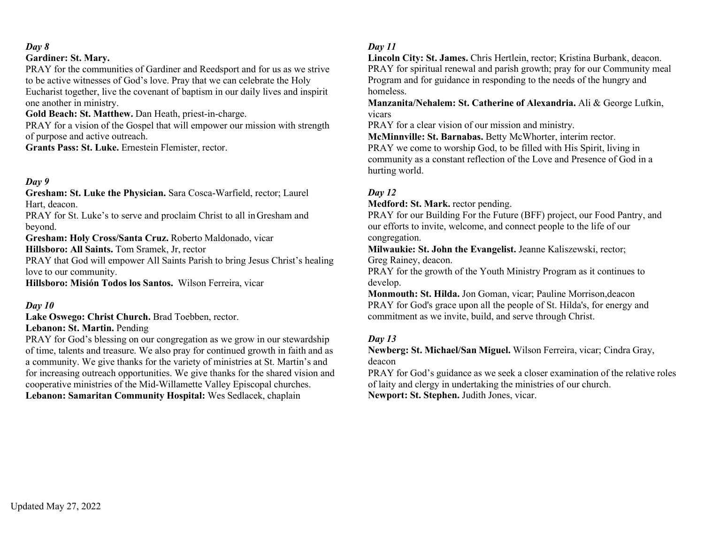### **Gardiner: St. Mary.**

PRAY for the communities of Gardiner and Reedsport and for us as we strive to be active witnesses of God's love. Pray that we can celebrate the Holy Eucharist together, live the covenant of baptism in our daily lives and inspirit one another in ministry.

**Gold Beach: St. Matthew.** Dan Heath, priest-in-charge.

PRAY for a vision of the Gospel that will empower our mission with strength of purpose and active outreach.

**Grants Pass: St. Luke.** Ernestein Flemister, rector.

## *Day 9*

**Gresham: St. Luke the Physician.** Sara Cosca-Warfield, rector; Laurel Hart, deacon.

PRAY for St. Luke's to serve and proclaim Christ to all in Gresham and beyond.

**Gresham: Holy Cross/Santa Cruz.** Roberto Maldonado, vicar

**Hillsboro: All Saints.** Tom Sramek, Jr, rector

PRAY that God will empower All Saints Parish to bring Jesus Christ's healing love to our community.

**Hillsboro: Misión Todos los Santos.** Wilson Ferreira, vicar

### *Day 10*

**Lake Oswego: Christ Church.** Brad Toebben, rector.

### **Lebanon: St. Martin.** Pending

PRAY for God's blessing on our congregation as we grow in our stewardship of time, talents and treasure. We also pray for continued growth in faith and as a community. We give thanks for the variety of ministries at St. Martin's and for increasing outreach opportunities. We give thanks for the shared vision and cooperative ministries of the Mid-Willamette Valley Episcopal churches. **Lebanon: Samaritan Community Hospital:** Wes Sedlacek, chaplain

## *Day 11*

**Lincoln City: St. James.** Chris Hertlein, rector; Kristina Burbank, deacon. PRAY for spiritual renewal and parish growth; pray for our Community meal Program and for guidance in responding to the needs of the hungry and homeless.

**Manzanita/Nehalem: St. Catherine of Alexandria.** Ali & George Lufkin, vicars

PRAY for a clear vision of our mission and ministry.

**McMinnville: St. Barnabas.** Betty McWhorter, interim rector. PRAY we come to worship God, to be filled with His Spirit, living in community as a constant reflection of the Love and Presence of God in a hurting world.

## *Day 12*

**Medford: St. Mark.** rector pending.

PRAY for our Building For the Future (BFF) project, our Food Pantry, and our efforts to invite, welcome, and connect people to the life of our congregation.

**Milwaukie: St. John the Evangelist.** Jeanne Kaliszewski, rector; Greg Rainey, deacon.

PRAY for the growth of the Youth Ministry Program as it continues to develop.

**Monmouth: St. Hilda.** Jon Goman, vicar; Pauline Morrison,deacon PRAY for God's grace upon all the people of St. Hilda's, for energy and commitment as we invite, build, and serve through Christ.

## *Day 13*

**Newberg: St. Michael/San Miguel.** Wilson Ferreira, vicar; Cindra Gray, deacon

PRAY for God's guidance as we seek a closer examination of the relative roles of laity and clergy in undertaking the ministries of our church. **Newport: St. Stephen.** Judith Jones, vicar.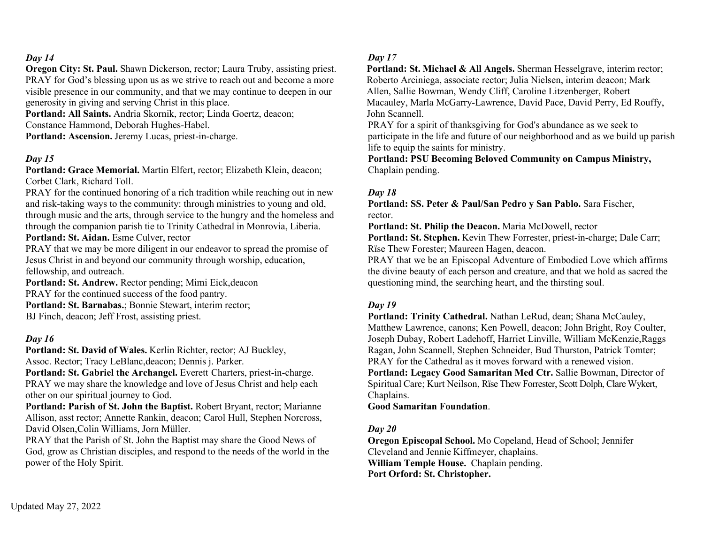**Oregon City: St. Paul.** Shawn Dickerson, rector; Laura Truby, assisting priest. PRAY for God's blessing upon us as we strive to reach out and become a more visible presence in our community, and that we may continue to deepen in our generosity in giving and serving Christ in this place.

**Portland: All Saints.** Andria Skornik, rector; Linda Goertz, deacon; Constance Hammond, Deborah Hughes-Habel.

**Portland: Ascension.** Jeremy Lucas, priest-in-charge.

#### *Day 15*

**Portland: Grace Memorial.** Martin Elfert, rector; Elizabeth Klein, deacon; Corbet Clark, Richard Toll.

PRAY for the continued honoring of a rich tradition while reaching out in new and risk-taking ways to the community: through ministries to young and old, through music and the arts, through service to the hungry and the homeless and through the companion parish tie to Trinity Cathedral in Monrovia, Liberia. **Portland: St. Aidan.** Esme Culver, rector

PRAY that we may be more diligent in our endeavor to spread the promise of Jesus Christ in and beyond our community through worship, education, fellowship, and outreach.

**Portland: St. Andrew.** Rector pending; Mimi Eick,deacon PRAY for the continued success of the food pantry. **Portland: St. Barnabas.**; Bonnie Stewart, interim rector; BJ Finch, deacon; Jeff Frost, assisting priest.

#### *Day 16*

**Portland: St. David of Wales.** Kerlin Richter, rector; AJ Buckley, Assoc. Rector; Tracy LeBlanc,deacon; Dennis j. Parker.

Portland: St. Gabriel the Archangel. Everett Charters, priest-in-charge. PRAY we may share the knowledge and love of Jesus Christ and help each other on our spiritual journey to God.

**Portland: Parish of St. John the Baptist.** Robert Bryant, rector; Marianne Allison, asst rector; Annette Rankin, deacon; Carol Hull, Stephen Norcross, David Olsen,Colin Williams, Jorn Müller.

PRAY that the Parish of St. John the Baptist may share the Good News of God, grow as Christian disciples, and respond to the needs of the world in the power of the Holy Spirit.

#### *Day 17*

**Portland: St. Michael & All Angels.** Sherman Hesselgrave, interim rector; Roberto Arciniega, associate rector; Julia Nielsen, interim deacon; Mark Allen, Sallie Bowman, Wendy Cliff, Caroline Litzenberger, Robert Macauley, Marla McGarry-Lawrence, David Pace, David Perry, Ed Rouffy, John Scannell.

PRAY for a spirit of thanksgiving for God's abundance as we seek to participate in the life and future of our neighborhood and as we build up parish life to equip the saints for ministry.

**Portland: PSU Becoming Beloved Community on Campus Ministry,** Chaplain pending.

#### *Day 18*

**Portland: SS. Peter & Paul/San Pedro y San Pablo.** Sara Fischer, rector.

**Portland: St. Philip the Deacon.** Maria McDowell, rector

**Portland: St. Stephen.** Kevin Thew Forrester, priest-in-charge; Dale Carr; Rïse Thew Forester; Maureen Hagen, deacon.

PRAY that we be an Episcopal Adventure of Embodied Love which affirms the divine beauty of each person and creature, and that we hold as sacred the questioning mind, the searching heart, and the thirsting soul.

### *Day 19*

**Portland: Trinity Cathedral.** Nathan LeRud, dean; Shana McCauley, Matthew Lawrence, canons; Ken Powell, deacon; John Bright, Roy Coulter, Joseph Dubay, Robert Ladehoff, Harriet Linville, William McKenzie,Raggs Ragan, John Scannell, Stephen Schneider, Bud Thurston, Patrick Tomter; PRAY for the Cathedral as it moves forward with a renewed vision. **Portland: Legacy Good Samaritan Med Ctr.** Sallie Bowman, Director of Spiritual Care; Kurt Neilson, Rïse Thew Forrester, Scott Dolph, Clare Wykert, Chaplains.

**Good Samaritan Foundation**.

### *Day 20*

**Oregon Episcopal School.** Mo Copeland, Head of School; Jennifer Cleveland and Jennie Kiffmeyer, chaplains. **William Temple House.** Chaplain pending. **Port Orford: St. Christopher.**